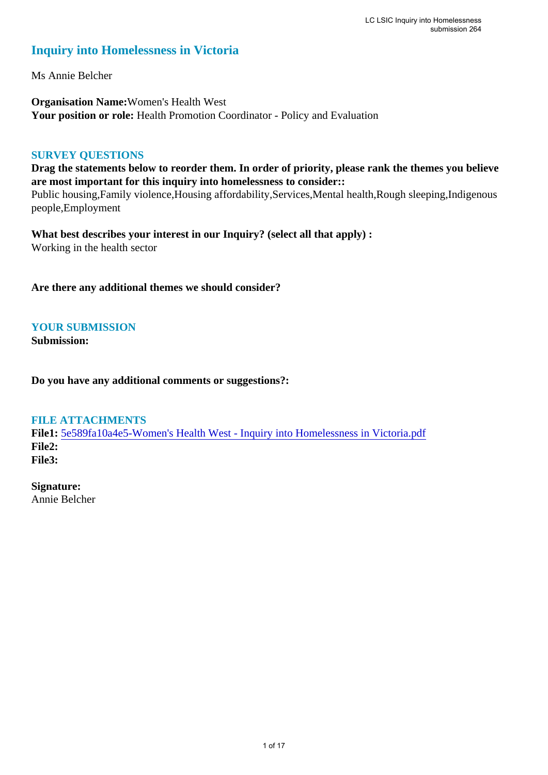#### **Inquiry into Homelessness in Victoria**

Ms Annie Belcher

**Organisation Name:**Women's Health West **Your position or role:** Health Promotion Coordinator - Policy and Evaluation

#### **SURVEY QUESTIONS**

**Drag the statements below to reorder them. In order of priority, please rank the themes you believe are most important for this inquiry into homelessness to consider::** 

Public housing,Family violence,Housing affordability,Services,Mental health,Rough sleeping,Indigenous people,Employment

**What best describes your interest in our Inquiry? (select all that apply) :**  Working in the health sector

**Are there any additional themes we should consider?**

#### **YOUR SUBMISSION**

**Submission:** 

**Do you have any additional comments or suggestions?:** 

#### **FILE ATTACHMENTS**

**File1:** [5e589fa10a4e5-Women's Health West - Inquiry into Homelessness in Victoria.pdf](https://www.parliament.vic.gov.au/component/rsform/submission-view-file/4b5b9fba72b8ac0bd4debf80fa153eda/23e2ad3ec4216ef60267f0bf059c2b94?Itemid=463) **File2: File3:** 

**Signature:**

Annie Belcher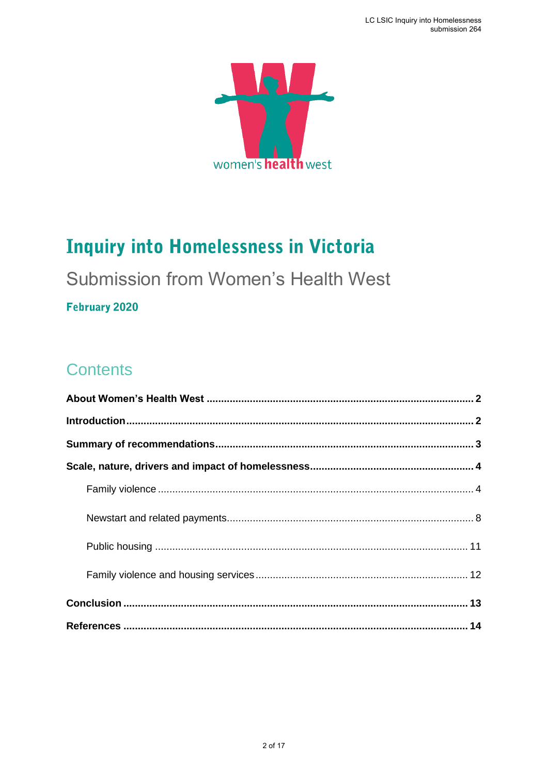

# **Inquiry into Homelessness in Victoria**

## **Submission from Women's Health West**

#### **February 2020**

### **Contents**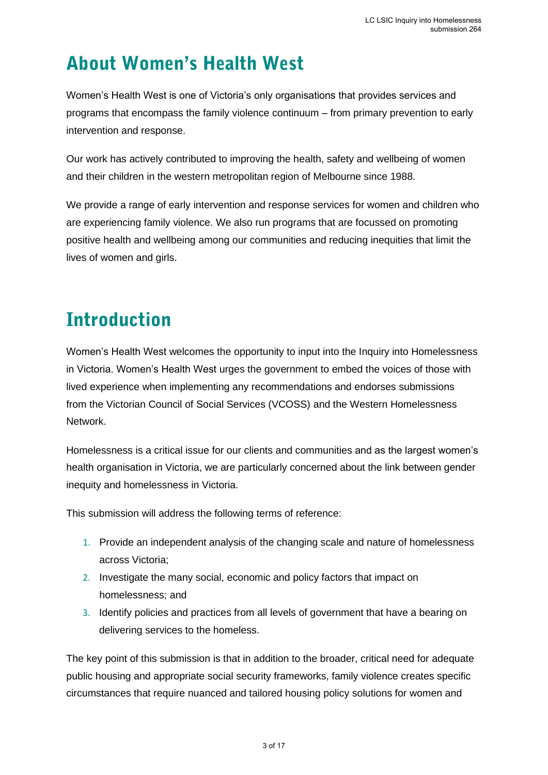# <span id="page-2-0"></span>**About Women's Health West**

Women's Health West is one of Victoria's only organisations that provides services and programs that encompass the family violence continuum – from primary prevention to early intervention and response.

Our work has actively contributed to improving the health, safety and wellbeing of women and their children in the western metropolitan region of Melbourne since 1988.

We provide a range of early intervention and response services for women and children who are experiencing family violence. We also run programs that are focussed on promoting positive health and wellbeing among our communities and reducing inequities that limit the lives of women and girls.

# <span id="page-2-1"></span>**Introduction**

Women's Health West welcomes the opportunity to input into the Inquiry into Homelessness in Victoria. Women's Health West urges the government to embed the voices of those with lived experience when implementing any recommendations and endorses submissions from the Victorian Council of Social Services (VCOSS) and the Western Homelessness Network.

Homelessness is a critical issue for our clients and communities and as the largest women's health organisation in Victoria, we are particularly concerned about the link between gender inequity and homelessness in Victoria.

This submission will address the following terms of reference:

- 1. Provide an independent analysis of the changing scale and nature of homelessness across Victoria;
- 2. Investigate the many social, economic and policy factors that impact on homelessness; and
- 3. Identify policies and practices from all levels of government that have a bearing on delivering services to the homeless.

The key point of this submission is that in addition to the broader, critical need for adequate public housing and appropriate social security frameworks, family violence creates specific circumstances that require nuanced and tailored housing policy solutions for women and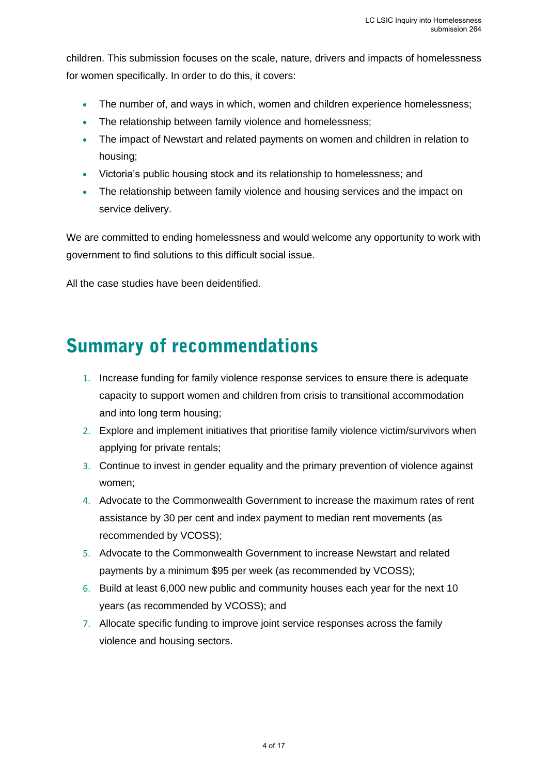children. This submission focuses on the scale, nature, drivers and impacts of homelessness for women specifically. In order to do this, it covers:

- The number of, and ways in which, women and children experience homelessness;
- The relationship between family violence and homelessness:
- The impact of Newstart and related payments on women and children in relation to housing;
- Victoria's public housing stock and its relationship to homelessness; and
- The relationship between family violence and housing services and the impact on service delivery.

We are committed to ending homelessness and would welcome any opportunity to work with government to find solutions to this difficult social issue.

All the case studies have been deidentified.

### <span id="page-3-0"></span>**Summary of recommendations**

- 1. Increase funding for family violence response services to ensure there is adequate capacity to support women and children from crisis to transitional accommodation and into long term housing;
- 2. Explore and implement initiatives that prioritise family violence victim/survivors when applying for private rentals;
- 3. Continue to invest in gender equality and the primary prevention of violence against women;
- 4. Advocate to the Commonwealth Government to increase the maximum rates of rent assistance by 30 per cent and index payment to median rent movements (as recommended by VCOSS);
- 5. Advocate to the Commonwealth Government to increase Newstart and related payments by a minimum \$95 per week (as recommended by VCOSS);
- 6. Build at least 6,000 new public and community houses each year for the next 10 years (as recommended by VCOSS); and
- 7. Allocate specific funding to improve joint service responses across the family violence and housing sectors.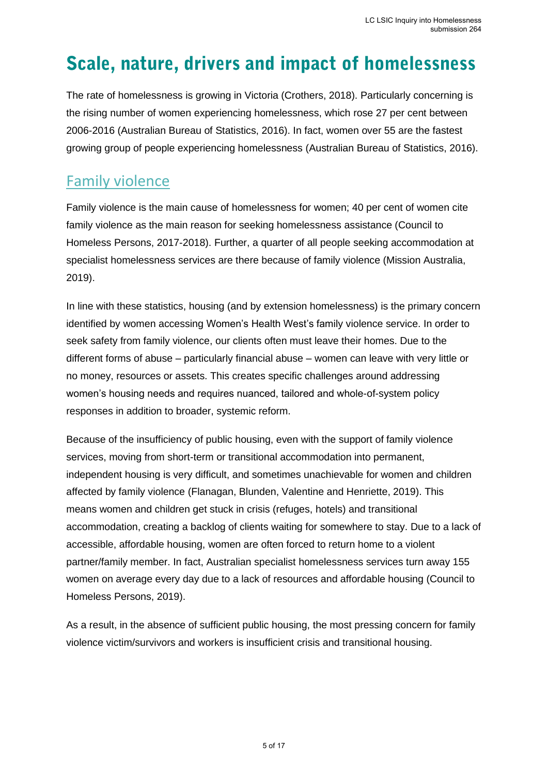## <span id="page-4-0"></span>Scale, nature, drivers and impact of homelessness

The rate of homelessness is growing in Victoria (Crothers, 2018). Particularly concerning is the rising number of women experiencing homelessness, which rose 27 per cent between 2006-2016 (Australian Bureau of Statistics, 2016). In fact, women over 55 are the fastest growing group of people experiencing homelessness (Australian Bureau of Statistics, 2016).

### <span id="page-4-1"></span>Family violence

Family violence is the main cause of homelessness for women; 40 per cent of women cite family violence as the main reason for seeking homelessness assistance (Council to Homeless Persons, 2017-2018). Further, a quarter of all people seeking accommodation at specialist homelessness services are there because of family violence (Mission Australia, 2019).

In line with these statistics, housing (and by extension homelessness) is the primary concern identified by women accessing Women's Health West's family violence service. In order to seek safety from family violence, our clients often must leave their homes. Due to the different forms of abuse – particularly financial abuse – women can leave with very little or no money, resources or assets. This creates specific challenges around addressing women's housing needs and requires nuanced, tailored and whole-of-system policy responses in addition to broader, systemic reform.

Because of the insufficiency of public housing, even with the support of family violence services, moving from short-term or transitional accommodation into permanent, independent housing is very difficult, and sometimes unachievable for women and children affected by family violence (Flanagan, Blunden, Valentine and Henriette, 2019). This means women and children get stuck in crisis (refuges, hotels) and transitional accommodation, creating a backlog of clients waiting for somewhere to stay. Due to a lack of accessible, affordable housing, women are often forced to return home to a violent partner/family member. In fact, Australian specialist homelessness services turn away 155 women on average every day due to a lack of resources and affordable housing (Council to Homeless Persons, 2019).

As a result, in the absence of sufficient public housing, the most pressing concern for family violence victim/survivors and workers is insufficient crisis and transitional housing.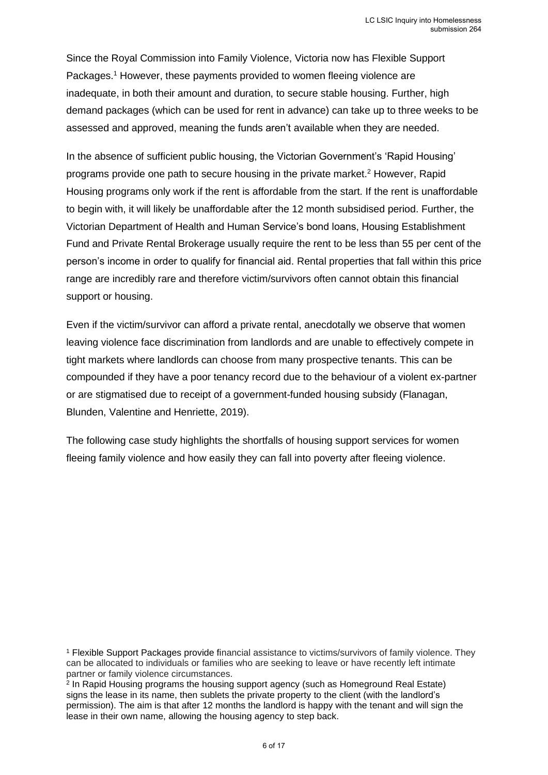Since the Royal Commission into Family Violence, Victoria now has Flexible Support Packages.<sup>1</sup> However, these payments provided to women fleeing violence are inadequate, in both their amount and duration, to secure stable housing. Further, high demand packages (which can be used for rent in advance) can take up to three weeks to be assessed and approved, meaning the funds aren't available when they are needed.

In the absence of sufficient public housing, the Victorian Government's 'Rapid Housing' programs provide one path to secure housing in the private market.<sup>2</sup> However, Rapid Housing programs only work if the rent is affordable from the start. If the rent is unaffordable to begin with, it will likely be unaffordable after the 12 month subsidised period. Further, the Victorian Department of Health and Human Service's bond loans, Housing Establishment Fund and Private Rental Brokerage usually require the rent to be less than 55 per cent of the person's income in order to qualify for financial aid. Rental properties that fall within this price range are incredibly rare and therefore victim/survivors often cannot obtain this financial support or housing.

Even if the victim/survivor can afford a private rental, anecdotally we observe that women leaving violence face discrimination from landlords and are unable to effectively compete in tight markets where landlords can choose from many prospective tenants. This can be compounded if they have a poor tenancy record due to the behaviour of a violent ex-partner or are stigmatised due to receipt of a government-funded housing subsidy (Flanagan, Blunden, Valentine and Henriette, 2019).

The following case study highlights the shortfalls of housing support services for women fleeing family violence and how easily they can fall into poverty after fleeing violence.

<sup>1</sup> Flexible Support Packages provide financial assistance to victims/survivors of family violence. They can be allocated to individuals or families who are seeking to leave or have recently left intimate partner or family violence circumstances.

2 In Rapid Housing programs the housing support agency (such as Homeground Real Estate) signs the lease in its name, then sublets the private property to the client (with the landlord's permission). The aim is that after 12 months the landlord is happy with the tenant and will sign the lease in their own name, allowing the housing agency to step back.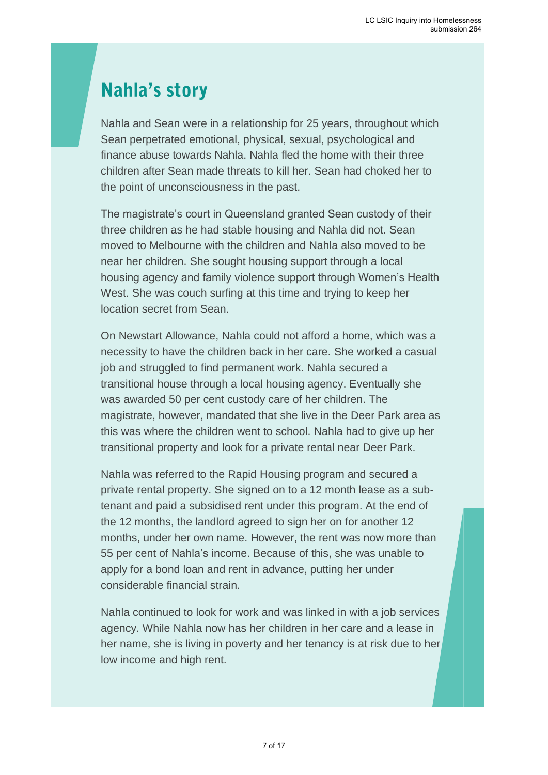## **Nahla's story**

Great story,

Nahla and Sean were in a relationship for 25 years, throughout which Sean perpetrated emotional, physical, sexual, psychological and finance abuse towards Nahla. Nahla fled the home with their three children after Sean made threats to kill her. Sean had choked her to the point of unconsciousness in the past.

The magistrate's court in Queensland granted Sean custody of their three children as he had stable housing and Nahla did not. Sean moved to Melbourne with the children and Nahla also moved to be near her children. She sought housing support through a local housing agency and family violence support through Women's Health West. She was couch surfing at this time and trying to keep her location secret from Sean.

On Newstart Allowance, Nahla could not afford a home, which was a necessity to have the children back in her care. She worked a casual job and struggled to find permanent work. Nahla secured a transitional house through a local housing agency. Eventually she was awarded 50 per cent custody care of her children. The magistrate, however, mandated that she live in the Deer Park area as this was where the children went to school. Nahla had to give up her transitional property and look for a private rental near Deer Park.

Nahla was referred to the Rapid Housing program and secured a private rental property. She signed on to a 12 month lease as a subtenant and paid a subsidised rent under this program. At the end of the 12 months, the landlord agreed to sign her on for another 12 months, under her own name. However, the rent was now more than 55 per cent of Nahla's income. Because of this, she was unable to apply for a bond loan and rent in advance, putting her under considerable financial strain.

Nahla continued to look for work and was linked in with a job services agency. While Nahla now has her children in her care and a lease in her name, she is living in poverty and her tenancy is at risk due to her low income and high rent.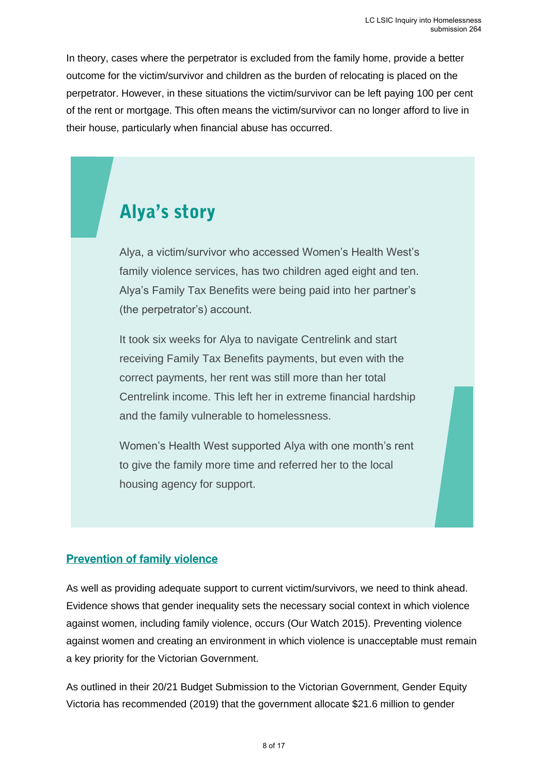In theory, cases where the perpetrator is excluded from the family home, provide a better outcome for the victim/survivor and children as the burden of relocating is placed on the perpetrator. However, in these situations the victim/survivor can be left paying 100 per cent of the rent or mortgage. This often means the victim/survivor can no longer afford to live in their house, particularly when financial abuse has occurred.

## **Alya's story**

Alya, a victim/survivor who accessed Women's Health West's family violence services, has two children aged eight and ten. Alya's Family Tax Benefits were being paid into her partner's (the perpetrator's) account.

It took six weeks for Alya to navigate Centrelink and start receiving Family Tax Benefits payments, but even with the correct payments, her rent was still more than her total Centrelink income. This left her in extreme financial hardship and the family vulnerable to homelessness.

Women's Health West supported Alya with one month's rent to give the family more time and referred her to the local housing agency for support.

#### **Prevention of family violence**

As well as providing adequate support to current victim/survivors, we need to think ahead. Evidence shows that gender inequality sets the necessary social context in which violence against women, including family violence, occurs (Our Watch 2015). Preventing violence against women and creating an environment in which violence is unacceptable must remain a key priority for the Victorian Government.

As outlined in their 20/21 Budget Submission to the Victorian Government, Gender Equity Victoria has recommended (2019) that the government allocate \$21.6 million to gender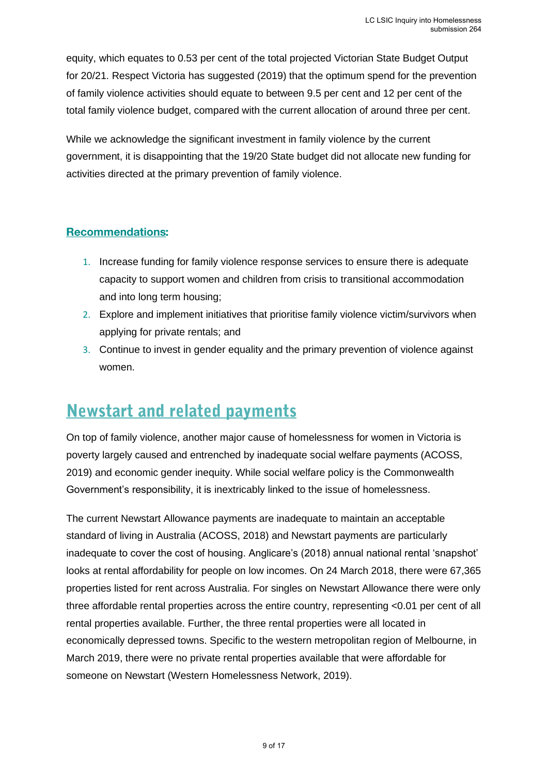equity, which equates to 0.53 per cent of the total projected Victorian State Budget Output for 20/21. Respect Victoria has suggested (2019) that the optimum spend for the prevention of family violence activities should equate to between 9.5 per cent and 12 per cent of the total family violence budget, compared with the current allocation of around three per cent.

While we acknowledge the significant investment in family violence by the current government, it is disappointing that the 19/20 State budget did not allocate new funding for activities directed at the primary prevention of family violence.

#### **Recommendations:**

- 1. Increase funding for family violence response services to ensure there is adequate capacity to support women and children from crisis to transitional accommodation and into long term housing;
- 2. Explore and implement initiatives that prioritise family violence victim/survivors when applying for private rentals; and
- 3. Continue to invest in gender equality and the primary prevention of violence against women.

### <span id="page-8-0"></span>**Newstart and related payments**

On top of family violence, another major cause of homelessness for women in Victoria is poverty largely caused and entrenched by inadequate social welfare payments (ACOSS, 2019) and economic gender inequity. While social welfare policy is the Commonwealth Government's responsibility, it is inextricably linked to the issue of homelessness.

The current Newstart Allowance payments are inadequate to maintain an acceptable standard of living in Australia (ACOSS, 2018) and Newstart payments are particularly inadequate to cover the cost of housing. Anglicare's (2018) annual national rental 'snapshot' looks at rental affordability for people on low incomes. On 24 March 2018, there were 67,365 properties listed for rent across Australia. For singles on Newstart Allowance there were only three affordable rental properties across the entire country, representing <0.01 per cent of all rental properties available. Further, the three rental properties were all located in economically depressed towns. Specific to the western metropolitan region of Melbourne, in March 2019, there were no private rental properties available that were affordable for someone on Newstart (Western Homelessness Network, 2019).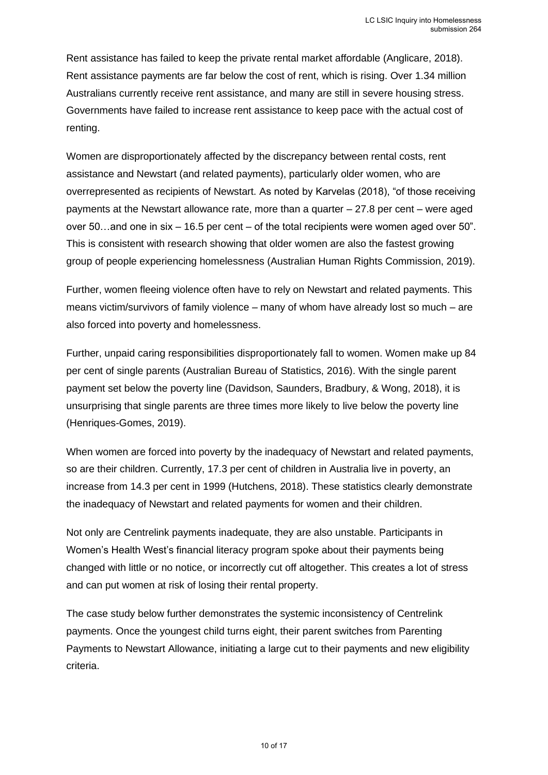Rent assistance has failed to keep the private rental market affordable (Anglicare, 2018). Rent assistance payments are far below the cost of rent, which is rising. Over 1.34 million Australians currently receive rent assistance, and many are still in severe housing stress. Governments have failed to increase rent assistance to keep pace with the actual cost of renting.

Women are disproportionately affected by the discrepancy between rental costs, rent assistance and Newstart (and related payments), particularly older women, who are overrepresented as recipients of Newstart. As noted by Karvelas (2018), "of those receiving payments at the Newstart allowance rate, more than a quarter – 27.8 per cent – were aged over 50…and one in six – 16.5 per cent – of the total recipients were women aged over 50". This is consistent with research showing that older women are also the fastest growing group of people experiencing homelessness (Australian Human Rights Commission, 2019).

Further, women fleeing violence often have to rely on Newstart and related payments. This means victim/survivors of family violence – many of whom have already lost so much – are also forced into poverty and homelessness.

Further, unpaid caring responsibilities disproportionately fall to women. Women make up 84 per cent of single parents (Australian Bureau of Statistics, 2016). With the single parent payment set below the poverty line (Davidson, Saunders, Bradbury, & Wong, 2018), it is unsurprising that single parents are three times more likely to live below the poverty line (Henriques-Gomes, 2019).

When women are forced into poverty by the inadequacy of Newstart and related payments, so are their children. Currently, 17.3 per cent of children in Australia live in poverty, an increase from 14.3 per cent in 1999 (Hutchens, 2018). These statistics clearly demonstrate the inadequacy of Newstart and related payments for women and their children.

Not only are Centrelink payments inadequate, they are also unstable. Participants in Women's Health West's financial literacy program spoke about their payments being changed with little or no notice, or incorrectly cut off altogether. This creates a lot of stress and can put women at risk of losing their rental property.

The case study below further demonstrates the systemic inconsistency of Centrelink payments. Once the youngest child turns eight, their parent switches from Parenting Payments to Newstart Allowance, initiating a large cut to their payments and new eligibility criteria.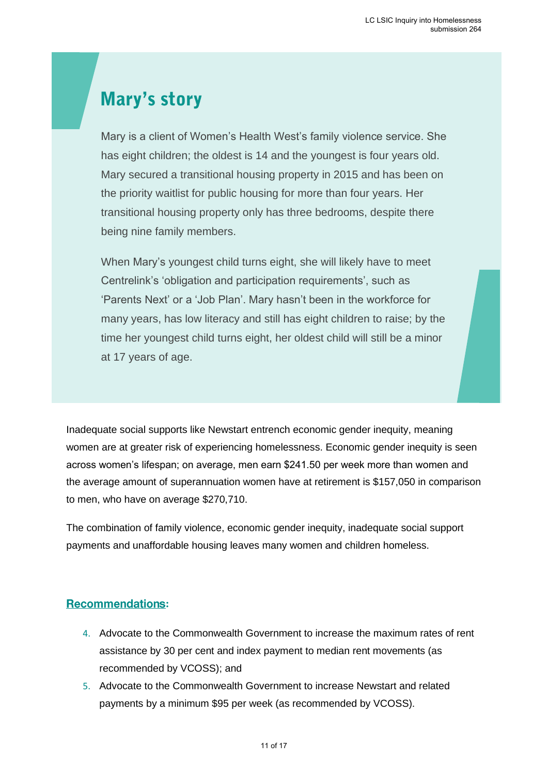## **Mary's story**

Mary is a client of Women's Health West's family violence service. She has eight children; the oldest is 14 and the youngest is four years old. Mary secured a transitional housing property in 2015 and has been on the priority waitlist for public housing for more than four years. Her transitional housing property only has three bedrooms, despite there being nine family members.

When Mary's youngest child turns eight, she will likely have to meet Centrelink's 'obligation and participation requirements', such as 'Parents Next' or a 'Job Plan'. Mary hasn't been in the workforce for many years, has low literacy and still has eight children to raise; by the time her youngest child turns eight, her oldest child will still be a minor at 17 years of age.

Inadequate social supports like Newstart entrench economic gender inequity, meaning women are at greater risk of experiencing homelessness. Economic gender inequity is seen across women's lifespan; on average, men earn \$241.50 per week more than women and the average amount of superannuation women have at retirement is \$157,050 in comparison to men, who have on average \$270,710.

The combination of family violence, economic gender inequity, inadequate social support payments and unaffordable housing leaves many women and children homeless.

#### **:**

- 4. Advocate to the Commonwealth Government to increase the maximum rates of rent assistance by 30 per cent and index payment to median rent movements (as recommended by VCOSS); and
- 5. Advocate to the Commonwealth Government to increase Newstart and related payments by a minimum \$95 per week (as recommended by VCOSS).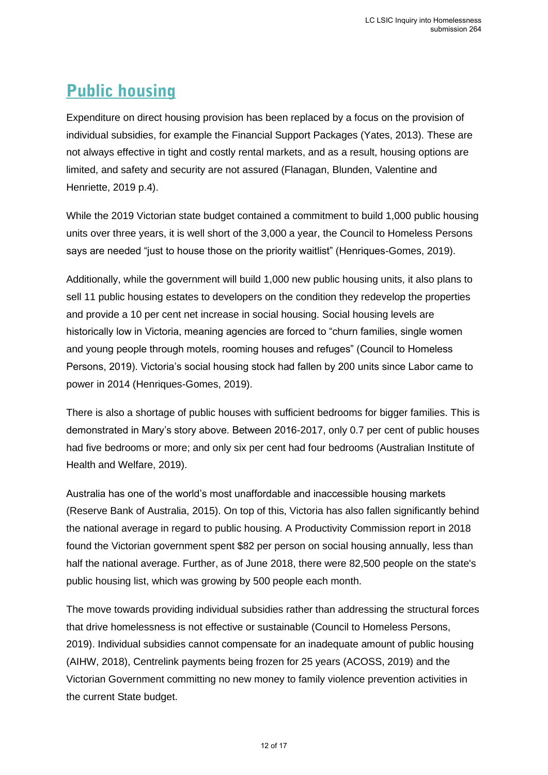### <span id="page-11-0"></span>**Public housing**

Expenditure on direct housing provision has been replaced by a focus on the provision of individual subsidies, for example the Financial Support Packages (Yates, 2013). These are not always effective in tight and costly rental markets, and as a result, housing options are limited, and safety and security are not assured (Flanagan, Blunden, Valentine and Henriette, 2019 p.4).

While the 2019 Victorian state budget contained a commitment to build 1,000 public housing units over three years, it is well short of the 3,000 a year, the Council to Homeless Persons says are needed "just to house those on the priority waitlist" (Henriques-Gomes, 2019).

Additionally, while the government will build 1,000 new public housing units, it also plans to sell 11 public housing estates to developers on the condition they redevelop the properties and provide a 10 per cent net increase in social housing. Social housing levels are historically low in Victoria, meaning agencies are forced to "churn families, single women and young people through motels, rooming houses and refuges" (Council to Homeless Persons, 2019). Victoria's social housing stock had fallen by 200 units since Labor came to power in 2014 (Henriques-Gomes, 2019).

There is also a shortage of public houses with sufficient bedrooms for bigger families. This is demonstrated in Mary's story above. Between 2016-2017, only 0.7 per cent of public houses had five bedrooms or more; and only six per cent had four bedrooms (Australian Institute of Health and Welfare, 2019).

Australia has one of the world's most unaffordable and inaccessible housing markets (Reserve Bank of Australia, 2015). On top of this, Victoria has also fallen significantly behind the national average in regard to public housing. A Productivity Commission report in 2018 found the Victorian government spent \$82 per person on social housing annually, less than half the national average. Further, as of June 2018, there were 82,500 people on the state's public housing list, which was growing by 500 people each month.

The move towards providing individual subsidies rather than addressing the structural forces that drive homelessness is not effective or sustainable (Council to Homeless Persons, 2019). Individual subsidies cannot compensate for an inadequate amount of public housing (AIHW, 2018), Centrelink payments being frozen for 25 years (ACOSS, 2019) and the Victorian Government committing no new money to family violence prevention activities in the current State budget.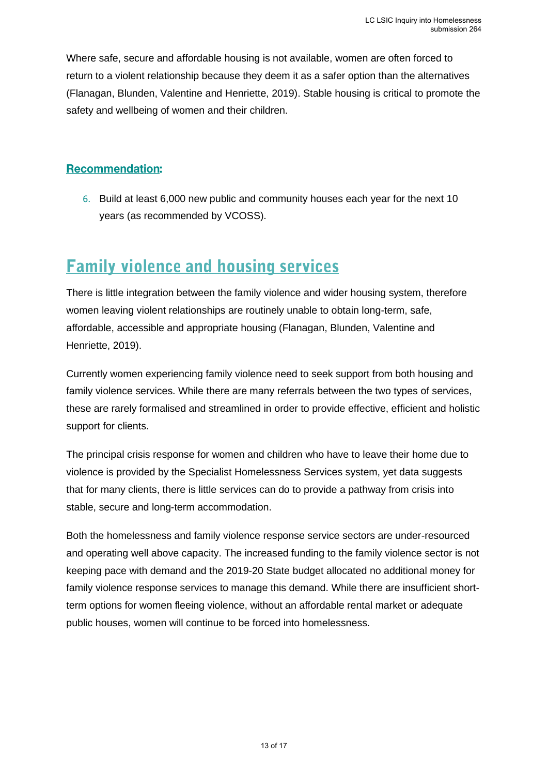Where safe, secure and affordable housing is not available, women are often forced to return to a violent relationship because they deem it as a safer option than the alternatives (Flanagan, Blunden, Valentine and Henriette, 2019). Stable housing is critical to promote the safety and wellbeing of women and their children.

#### **Recommendation:**

6. Build at least 6,000 new public and community houses each year for the next 10 years (as recommended by VCOSS).

### <span id="page-12-0"></span>**Family violence and housing services**

There is little integration between the family violence and wider housing system, therefore women leaving violent relationships are routinely unable to obtain long-term, safe, affordable, accessible and appropriate housing (Flanagan, Blunden, Valentine and Henriette, 2019).

Currently women experiencing family violence need to seek support from both housing and family violence services. While there are many referrals between the two types of services, these are rarely formalised and streamlined in order to provide effective, efficient and holistic support for clients.

The principal crisis response for women and children who have to leave their home due to violence is provided by the Specialist Homelessness Services system, yet data suggests that for many clients, there is little services can do to provide a pathway from crisis into stable, secure and long-term accommodation.

Both the homelessness and family violence response service sectors are under-resourced and operating well above capacity. The increased funding to the family violence sector is not keeping pace with demand and the 2019-20 State budget allocated no additional money for family violence response services to manage this demand. While there are insufficient shortterm options for women fleeing violence, without an affordable rental market or adequate public houses, women will continue to be forced into homelessness.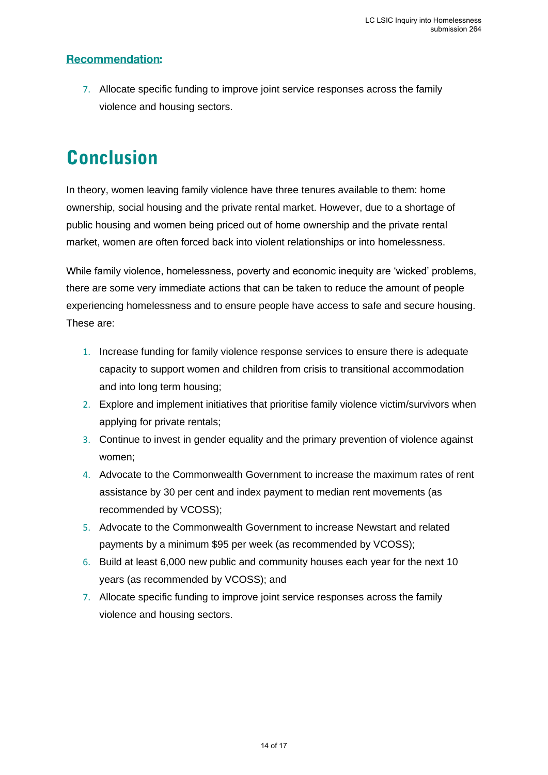#### **Recommendation:**

7. Allocate specific funding to improve joint service responses across the family violence and housing sectors.

## <span id="page-13-0"></span>**Conclusion**

In theory, women leaving family violence have three tenures available to them: home ownership, social housing and the private rental market. However, due to a shortage of public housing and women being priced out of home ownership and the private rental market, women are often forced back into violent relationships or into homelessness.

While family violence, homelessness, poverty and economic inequity are 'wicked' problems, there are some very immediate actions that can be taken to reduce the amount of people experiencing homelessness and to ensure people have access to safe and secure housing. These are:

- 1. Increase funding for family violence response services to ensure there is adequate capacity to support women and children from crisis to transitional accommodation and into long term housing;
- 2. Explore and implement initiatives that prioritise family violence victim/survivors when applying for private rentals;
- 3. Continue to invest in gender equality and the primary prevention of violence against women;
- 4. Advocate to the Commonwealth Government to increase the maximum rates of rent assistance by 30 per cent and index payment to median rent movements (as recommended by VCOSS);
- 5. Advocate to the Commonwealth Government to increase Newstart and related payments by a minimum \$95 per week (as recommended by VCOSS);
- 6. Build at least 6,000 new public and community houses each year for the next 10 years (as recommended by VCOSS); and
- 7. Allocate specific funding to improve joint service responses across the family violence and housing sectors.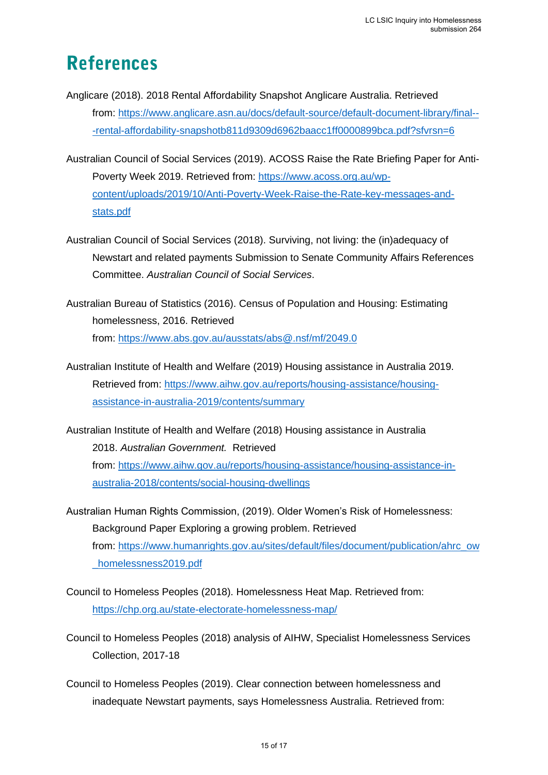## <span id="page-14-0"></span>**References**

- Anglicare (2018). 2018 Rental Affordability Snapshot Anglicare Australia. Retrieved from: [https://www.anglicare.asn.au/docs/default-source/default-document-library/final--](https://www.anglicare.asn.au/docs/default-source/default-document-library/final---rental-affordability-snapshotb811d9309d6962baacc1ff0000899bca.pdf?sfvrsn=6) [-rental-affordability-snapshotb811d9309d6962baacc1ff0000899bca.pdf?sfvrsn=6](https://www.anglicare.asn.au/docs/default-source/default-document-library/final---rental-affordability-snapshotb811d9309d6962baacc1ff0000899bca.pdf?sfvrsn=6)
- Australian Council of Social Services (2019). ACOSS Raise the Rate Briefing Paper for Anti-Poverty Week 2019. Retrieved from: [https://www.acoss.org.au/wp](https://www.acoss.org.au/wp-content/uploads/2019/10/Anti-Poverty-Week-Raise-the-Rate-key-messages-and-stats.pdf)[content/uploads/2019/10/Anti-Poverty-Week-Raise-the-Rate-key-messages-and](https://www.acoss.org.au/wp-content/uploads/2019/10/Anti-Poverty-Week-Raise-the-Rate-key-messages-and-stats.pdf)[stats.pdf](https://www.acoss.org.au/wp-content/uploads/2019/10/Anti-Poverty-Week-Raise-the-Rate-key-messages-and-stats.pdf)
- Australian Council of Social Services (2018). Surviving, not living: the (in)adequacy of Newstart and related payments Submission to Senate Community Affairs References Committee. *Australian Council of Social Services*.
- Australian Bureau of Statistics (2016). Census of Population and Housing: Estimating homelessness, 2016. Retrieved from: <https://www.abs.gov.au/ausstats/abs@.nsf/mf/2049.0>
- Australian Institute of Health and Welfare (2019) Housing assistance in Australia 2019. Retrieved from: [https://www.aihw.gov.au/reports/housing-assistance/housing](https://www.aihw.gov.au/reports/housing-assistance/housing-assistance-in-australia-2019/contents/summary)[assistance-in-australia-2019/contents/summary](https://www.aihw.gov.au/reports/housing-assistance/housing-assistance-in-australia-2019/contents/summary)
- Australian Institute of Health and Welfare (2018) Housing assistance in Australia 2018. *Australian Government.* Retrieved from: [https://www.aihw.gov.au/reports/housing-assistance/housing-assistance-in](https://www.aihw.gov.au/reports/housing-assistance/housing-assistance-in-australia-2018/contents/social-housing-dwellings)[australia-2018/contents/social-housing-dwellings](https://www.aihw.gov.au/reports/housing-assistance/housing-assistance-in-australia-2018/contents/social-housing-dwellings)
- Australian Human Rights Commission, (2019). Older Women's Risk of Homelessness: Background Paper Exploring a growing problem. Retrieved from: [https://www.humanrights.gov.au/sites/default/files/document/publication/ahrc\\_ow](https://www.humanrights.gov.au/sites/default/files/document/publication/ahrc_ow_homelessness2019.pdf) [\\_homelessness2019.pdf](https://www.humanrights.gov.au/sites/default/files/document/publication/ahrc_ow_homelessness2019.pdf)
- Council to Homeless Peoples (2018). Homelessness Heat Map. Retrieved from: <https://chp.org.au/state-electorate-homelessness-map/>
- Council to Homeless Peoples (2018) analysis of AIHW, Specialist Homelessness Services Collection, 2017-18
- Council to Homeless Peoples (2019). Clear connection between homelessness and inadequate Newstart payments, says Homelessness Australia. Retrieved from: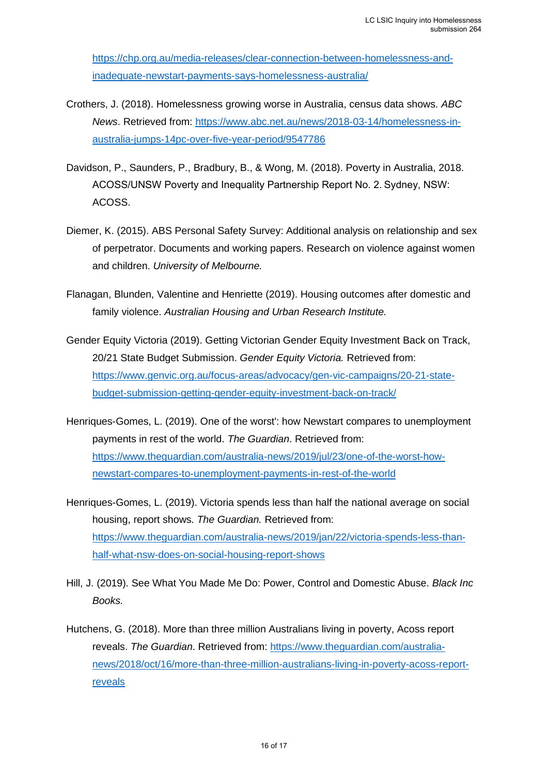[https://chp.org.au/media-releases/clear-connection-between-homelessness-and](https://chp.org.au/media-releases/clear-connection-between-homelessness-and-inadequate-newstart-payments-says-homelessness-australia/)[inadequate-newstart-payments-says-homelessness-australia/](https://chp.org.au/media-releases/clear-connection-between-homelessness-and-inadequate-newstart-payments-says-homelessness-australia/) 

- Crothers, J. (2018). Homelessness growing worse in Australia, census data shows. *ABC News*. Retrieved from: [https://www.abc.net.au/news/2018-03-14/homelessness-in](https://www.abc.net.au/news/2018-03-14/homelessness-in-australia-jumps-14pc-over-five-year-period/9547786)[australia-jumps-14pc-over-five-year-period/9547786](https://www.abc.net.au/news/2018-03-14/homelessness-in-australia-jumps-14pc-over-five-year-period/9547786)
- Davidson, P., Saunders, P., Bradbury, B., & Wong, M. (2018). Poverty in Australia, 2018. ACOSS/UNSW Poverty and Inequality Partnership Report No. 2. Sydney, NSW: ACOSS.
- Diemer, K. (2015). ABS Personal Safety Survey: Additional analysis on relationship and sex of perpetrator. Documents and working papers. Research on violence against women and children. *University of Melbourne.*
- Flanagan, Blunden, Valentine and Henriette (2019). Housing outcomes after domestic and family violence. *Australian Housing and Urban Research Institute.*
- Gender Equity Victoria (2019). Getting Victorian Gender Equity Investment Back on Track, 20/21 State Budget Submission. *Gender Equity Victoria.* Retrieved from: [https://www.genvic.org.au/focus-areas/advocacy/gen-vic-campaigns/20-21-state](https://www.genvic.org.au/focus-areas/advocacy/gen-vic-campaigns/20-21-state-budget-submission-getting-gender-equity-investment-back-on-track/)[budget-submission-getting-gender-equity-investment-back-on-track/](https://www.genvic.org.au/focus-areas/advocacy/gen-vic-campaigns/20-21-state-budget-submission-getting-gender-equity-investment-back-on-track/)
- Henriques-Gomes, L. (2019). One of the worst': how Newstart compares to unemployment payments in rest of the world. *The Guardian*. Retrieved from: [https://www.theguardian.com/australia-news/2019/jul/23/one-of-the-worst-how](https://www.theguardian.com/australia-news/2019/jul/23/one-of-the-worst-how-newstart-compares-to-unemployment-payments-in-rest-of-the-world)[newstart-compares-to-unemployment-payments-in-rest-of-the-world](https://www.theguardian.com/australia-news/2019/jul/23/one-of-the-worst-how-newstart-compares-to-unemployment-payments-in-rest-of-the-world)
- Henriques-Gomes, L. (2019). Victoria spends less than half the national average on social housing, report shows. *The Guardian.* Retrieved from: [https://www.theguardian.com/australia-news/2019/jan/22/victoria-spends-less-than](https://www.theguardian.com/australia-news/2019/jan/22/victoria-spends-less-than-half-what-nsw-does-on-social-housing-report-shows)[half-what-nsw-does-on-social-housing-report-shows](https://www.theguardian.com/australia-news/2019/jan/22/victoria-spends-less-than-half-what-nsw-does-on-social-housing-report-shows)
- Hill, J. (2019). See What You Made Me Do: Power, Control and Domestic Abuse. *Black Inc Books.*
- Hutchens, G. (2018). More than three million Australians living in poverty, Acoss report reveals. *The Guardian*. Retrieved from: [https://www.theguardian.com/australia](https://www.theguardian.com/australia-news/2018/oct/16/more-than-three-million-australians-living-in-poverty-acoss-report-reveals)[news/2018/oct/16/more-than-three-million-australians-living-in-poverty-acoss-report](https://www.theguardian.com/australia-news/2018/oct/16/more-than-three-million-australians-living-in-poverty-acoss-report-reveals)[reveals](https://www.theguardian.com/australia-news/2018/oct/16/more-than-three-million-australians-living-in-poverty-acoss-report-reveals)